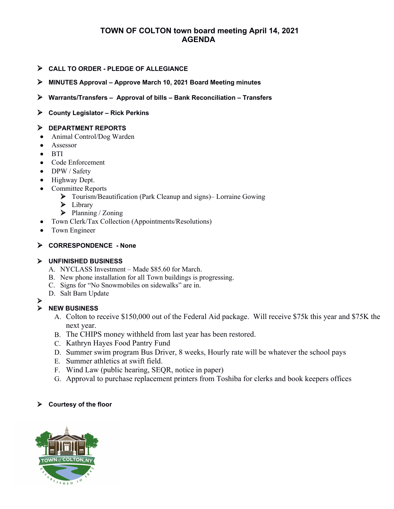# **TOWN OF COLTON town board meeting April 14, 2021 AGENDA**

- **CALL TO ORDER PLEDGE OF ALLEGIANCE**
- **MINUTES Approval Approve March 10, 2021 Board Meeting minutes**
- **Warrants/Transfers Approval of bills Bank Reconciliation Transfers**
- **County Legislator Rick Perkins**

#### **DEPARTMENT REPORTS**

- Animal Control/Dog Warden
- Assessor
- $\bullet$  BTI
- Code Enforcement
- DPW / Safety
- Highway Dept.
- Committee Reports
	- Tourism/Beautification (Park Cleanup and signs)– Lorraine Gowing
	- $\blacktriangleright$  Library
	- $\triangleright$  Planning / Zoning
- Town Clerk/Tax Collection (Appointments/Resolutions)
- Town Engineer

## **CORRESPONDENCE - None**

## **UNFINISHED BUSINESS**

- A. NYCLASS Investment Made \$85.60 for March.
- B. New phone installation for all Town buildings is progressing.
- C. Signs for "No Snowmobiles on sidewalks" are in.
- D. Salt Barn Update
- 

#### **NEW BUSINESS**

- A. Colton to receive \$150,000 out of the Federal Aid package. Will receive \$75k this year and \$75K the next year.
- B. The CHIPS money withheld from last year has been restored.
- C. Kathryn Hayes Food Pantry Fund
- D. Summer swim program Bus Driver, 8 weeks, Hourly rate will be whatever the school pays
- E. Summer athletics at swift field.
- F. Wind Law (public hearing, SEQR, notice in paper)
- G. Approval to purchase replacement printers from Toshiba for clerks and book keepers offices

## **Courtesy of the floor**